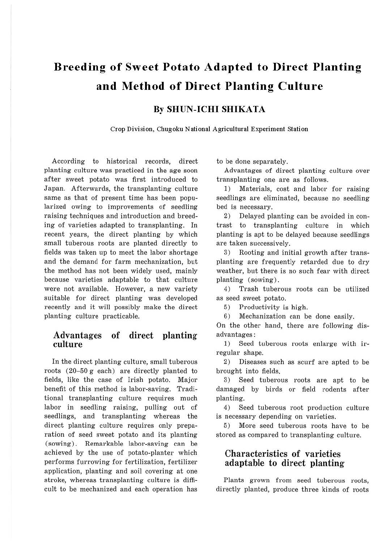# **Breeding of Sweet Potato Adapted to Direct Planting and Method of Direct Planting Culture**

## **By SHUN-ICHI SHIKATA**

**Crop Division, Chugoku National Agricultural Experiment Station** 

According to historical records, direct planting culture was practiced in the age soon after sweet potato was first introduced to Japan. Afterwards, the transplanting culture same as that of present time has been popularized owing to improvements of seedling raising techniques and introduction and breeding of varieties adapted to transplanting. In recent years, the direct planting by which small tuberous roots are planted directly to fields was taken up to meet the labor shortage and the demand for farm mechanization, but the method has not been widely used, mainly because varieties adaptable to that culture were not available. However, a new variety suitable for direct planting was developed recently and it will possibly make the direct planting culture practicable.

### **Advantages of direct planting culture**

In the direct planting culture, small tuberous roots (20-50 g each) are directly planted to fields, like the case of Irish potato. Major benefit of this method is labor-saving. Traditional transplanting culture requires much labor in seedling raising, pulling out of seedlings, and transplanting whereas the direct planting culture requires only preparation of seed sweet potato and its planting (sowing). Remarkable labor-saving can be achieved by the use of potato-planter which performs furrowing for fertilization, fertilizer application, planting and soil covering at one stroke, whereas transplanting culture is difficult to be mechanized and each operation has to be done separately.

Advantages of direct planting culture over transplanting one are as follows.

1) Materials, cost and labor for raising seedlings are eliminated, because no seedling bed is necessary.

2) Delayed planting can be avoided in contrast to transplanting culture in which planting is apt to be delayed because seedlings are taken successively.

3) Rooting and initial growth after transplanting are frequently retarded due to dry weather, but there is no such fear with direct planting (sowing) .

4) Trash tuberous roots can be utilized as seed sweet potato.

5) Productivity is high.

6) Mechanization can be done easily.

On the other hand, there are following disadvantages:

1) Seed tuberous roots enlarge with irregular shape.

2) Diseases such as scurf are apted to be brought into fields.

3) Seed tuberous roots are apt to be damaged by birds or field rodents after planting.

4) Seed tuberous root production culture is necessary depending on varieties.

5) More seed tuberous roots have to be stored as compared to transplanting culture.

### Characteristics of varieties adaptable to direct planting

Plants grown from seed tuberous roots, directly planted, produce three kinds of roots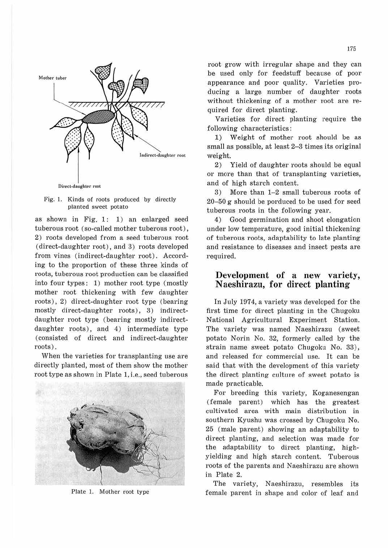

Fig. l. Kinds of roots produced by directly planted sweet potato

as shown in Fig. l: 1) an enlarged seed tuberous root ( so-called mother tuberous root), 2) roots developed from a seed tuberous root ( direct-daughter root), and 3) roots developed from vines (indirect-daughter root). According to the proportion of these three kinds of roots, tuberous root production can be classified into four types: 1) mother root type (mostly mother root thickening with few daughter roots), 2) direct-daughter root type (bearing mostly direct-daughter roots), 3) indirectdaughter root type (bearing mostly indirectdaughter roots), and 4) intermediate type (consisted of direct and indirect-daughter roots) .

When the varieties for transplanting use are directly planted, most of them show the mother root type as shown in Plate l, i.e., seed tuberous



Plate *l.* Mother root type

root grow with irregular shape and they can be used only for feedstuff because of poor appearance and poor quality. Varieties producing a large number of daughter roots without thickening of a mother root are required for direct planting.

Varieties for direct planting require the following characteristics:

1) Weight of mother root should be as small as possible, at least 2-3 times its original weight.

2) Yield of daughter roots should be equal or more than that of transplanting varieties, and of high starch content.

3) More than  $1-2$  small tuberous roots of  $20-50$  g should be porduced to be used for seed tuberous roots in the following year.

4) Good germination and shoot elongation under low temperature, good initial thickening of tuberous roots, adaptability to late planting and resistance to diseases and insect pests are required.

# **Development of a new variety, Naeshirazu, for direct planting**

In July 1974, a variety was developed for the first time for direct planting in the Chugoku National Agricultural Experiment Station. The variety was named Naeshirazu (sweet potato Norin No. 32, formerly called by the strain name sweet potato Chugoku No. 33), and released for commercial use. It can be said that with the development of this variety the direct planting culture of sweet potato is made practicable.

For breeding this variety, Koganesengan (female parent) which has the greatest cultivated area. with main distribution in southern Kyushu was crossed by Chugoku No. 25 (male parent) showing an adaptability to direct planting, and selection was made for the adaptability to direct planting, highyielding and high starch content. Tuberous roots of the parents and Naeshirazu are shown in Plate 2.

The variety, Naeshirazu, resembles its female parent in shape and color of leaf and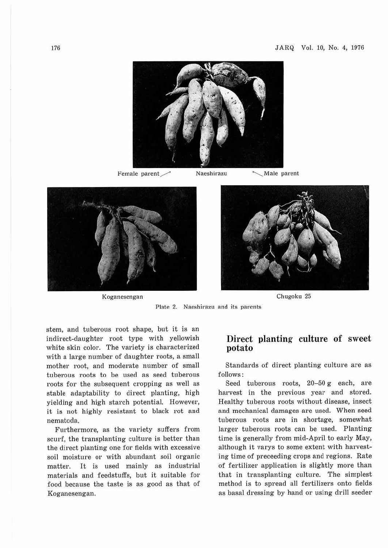

Female parent/ Naeshirazu .....\_\_\_\_\_Male parent



Koganesengan Chugoku 25



Plate 2. Naeshirazu and its parents

stem, and tuberous root shape, but it is an indirect-daughter root type with yellowish white skin color. The variety is characterized with a large number of daughter roots, a small mother root, and moderate number of small tuberous roots to be used as seed tuberous roots for the subsequent cropping as well as stable adaptability to direct planting, high yielding and high starch potential. However, it is not highly resistant to black rot and nematoda.

Furthermore, as the variety suffers from scurf, the transplanting culture is better than the direct planting one for fields with excessive soil moisture or with abundant soil organic matter. It is used mainly as industrial materials and feedstuffs, but it suitable for food because the taste is as good as that of Koganesengan.

### **Direct planting culture of sweet potato**

Standards of direct planting culture are as follows:

Seed tuberous roots,  $20-50$  g each, are harvest in the previous year and stored. Healthy tuberous roots without disease, insect and mechanical damages are used. When seed tuberous roots are in shortage, somewhat larger tuberous roots can be used. Planting time is generally from mid-April to early May, although it varys to some extent with harvesting time of preceeding crops and regions. Rate of fertilizer application is slightly more than that in transplanting culture. The simplest method is to spread all fertilizers onto fields as basal dressing by hand or using drill seeder